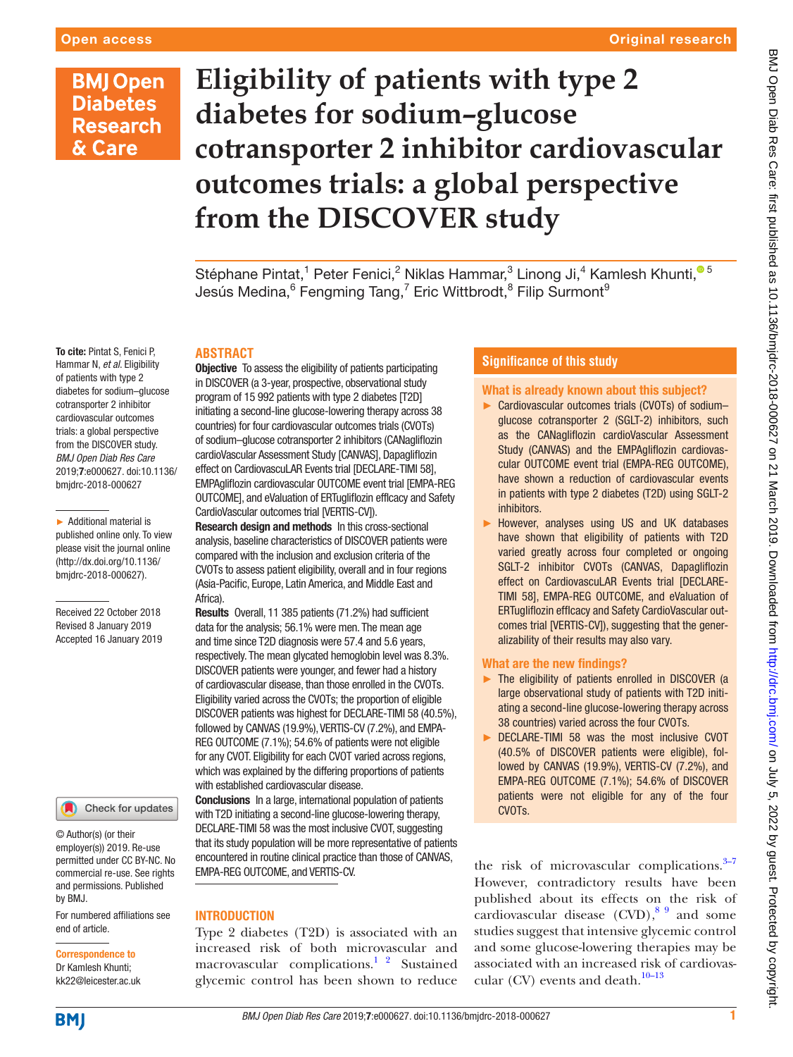To cite: Pintat S, Fenici P, Hammar N, *et al*. Eligibility of patients with type 2 diabetes for sodium–glucose cotransporter 2 inhibitor cardiovascular outcomes trials: a global perspective from the DISCOVER study. *BMJ Open Diab Res Care* 2019;7:e000627. doi:10.1136/ bmjdrc-2018-000627

► Additional material is published online only. To view please visit the journal online (http://dx.doi.org/10.1136/ bmjdrc-2018-000627).

Received 22 October 2018 Revised 8 January 2019 Accepted 16 January 2019

# **BMJ Open Diabetes Research** & Care

# **Eligibility of patients with type 2 diabetes for sodium–glucose cotransporter 2 inhibitor cardiovascular outcomes trials: a global perspective from the DISCOVER study**

Stéphane Pintat[,](http://orcid.org/0000-0003-2343-7099)<sup>1</sup> Peter Fenici,<sup>2</sup> Niklas Hammar,<sup>3</sup> Linong Ji,<sup>4</sup> Kamlesh Khunti,<sup>® 5</sup> Jesús Medina,<sup>6</sup> Fengming Tang,<sup>7</sup> Eric Wittbrodt,<sup>8</sup> Filip Surmont<sup>9</sup>

#### **Abstract**

**Objective** To assess the eligibility of patients participating in DISCOVER (a 3-year, prospective, observational study program of 15 992 patients with type 2 diabetes [T2D] initiating a second-line glucose-lowering therapy across 38 countries) for four cardiovascular outcomes trials (CVOTs) of sodium–glucose cotransporter 2 inhibitors (CANagliflozin cardioVascular Assessment Study [CANVAS], Dapagliflozin effect on CardiovascuLAR Events trial [DECLARE-TIMI 58], EMPAgliflozin cardiovascular OUTCOME event trial [EMPA-REG OUTCOME], and eValuation of ERTugliflozin effIcacy and Safety CardioVascular outcomes trial [VERTIS-CV]).

Research design and methods In this cross-sectional analysis, baseline characteristics of DISCOVER patients were compared with the inclusion and exclusion criteria of the CVOTs to assess patient eligibility, overall and in four regions (Asia-Pacific, Europe, Latin America, and Middle East and Africa).

Results Overall, 11 385 patients (71.2%) had sufficient data for the analysis; 56.1% were men. The mean age and time since T2D diagnosis were 57.4 and 5.6 years, respectively. The mean glycated hemoglobin level was 8.3%. DISCOVER patients were younger, and fewer had a history of cardiovascular disease, than those enrolled in the CVOTs. Eligibility varied across the CVOTs; the proportion of eligible DISCOVER patients was highest for DECLARE-TIMI 58 (40.5%), followed by CANVAS (19.9%), VERTIS-CV (7.2%), and EMPA-REG OUTCOME (7.1%); 54.6% of patients were not eligible for any CVOT. Eligibility for each CVOT varied across regions, which was explained by the differing proportions of patients with established cardiovascular disease.

Conclusions In a large, international population of patients with T2D initiating a second-line glucose-lowering therapy. DECLARE-TIMI 58 was the most inclusive CVOT, suggesting that its study population will be more representative of patients encountered in routine clinical practice than those of CANVAS, EMPA-REG OUTCOME, and VERTIS-CV.

#### **INTRODUCTION**

Type 2 diabetes (T2D) is associated with an increased risk of both microvascular and macrovascular complications.<sup>1</sup> <sup>2</sup> Sustained glycemic control has been shown to reduce

#### **Significance of this study**

#### What is already known about this subject?

- ► Cardiovascular outcomes trials (CVOTs) of sodium– glucose cotransporter 2 (SGLT-2) inhibitors, such as the CANagliflozin cardioVascular Assessment Study (CANVAS) and the EMPAgliflozin cardiovascular OUTCOME event trial (EMPA-REG OUTCOME), have shown a reduction of cardiovascular events in patients with type 2 diabetes (T2D) using SGLT-2 inhibitors.
- ► However, analyses using US and UK databases have shown that eligibility of patients with T2D varied greatly across four completed or ongoing SGLT-2 inhibitor CVOTs (CANVAS, Dapagliflozin effect on CardiovascuLAR Events trial [DECLARE-TIMI 58], EMPA-REG OUTCOME, and eValuation of ERTugliflozin effIcacy and Safety CardioVascular outcomes trial [VERTIS-CV]), suggesting that the generalizability of their results may also vary.

#### What are the new findings?

- ► The eligibility of patients enrolled in DISCOVER (a large observational study of patients with T2D initiating a second-line glucose-lowering therapy across 38 countries) varied across the four CVOTs.
- ► DECLARE-TIMI 58 was the most inclusive CVOT (40.5% of DISCOVER patients were eligible), followed by CANVAS (19.9%), VERTIS-CV (7.2%), and EMPA-REG OUTCOME (7.1%); 54.6% of DISCOVER patients were not eligible for any of the four CVOTs.

the risk of microvascular complications. $3-7$ However, contradictory results have been published about its effects on the risk of cardiovascular disease  $(CVD)$ ,<sup>89</sup> and some studies suggest that intensive glycemic control and some glucose-lowering therapies may be associated with an increased risk of cardiovascular (CV) events and death. $10-13$ 

**BMJ** 

end of article.

by BMJ.

Correspondence to Dr Kamlesh Khunti; kk22@leicester.ac.uk

© Author(s) (or their employer(s)) 2019. Re-use permitted under CC BY-NC. No commercial re-use. See rights and permissions. Published

For numbered affiliations see

Check for updates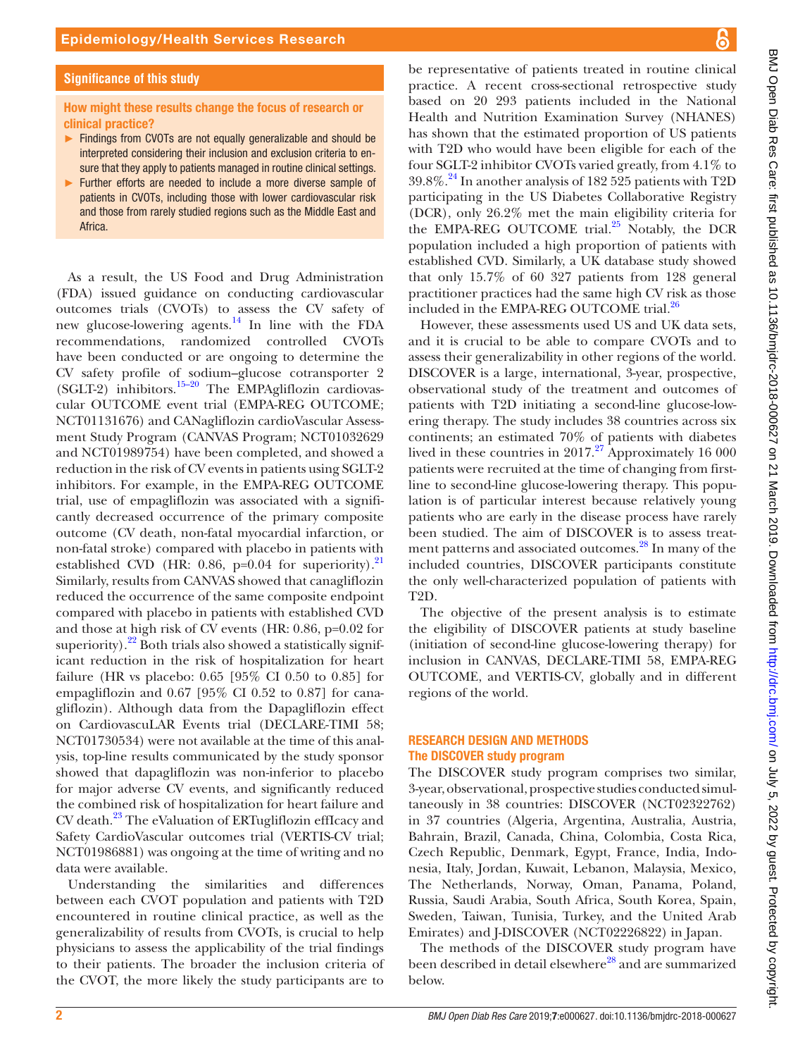#### **Significance of this study**

#### How might these results change the focus of research or clinical practice?

- ► Findings from CVOTs are not equally generalizable and should be interpreted considering their inclusion and exclusion criteria to ensure that they apply to patients managed in routine clinical settings.
- ► Further efforts are needed to include a more diverse sample of patients in CVOTs, including those with lower cardiovascular risk and those from rarely studied regions such as the Middle East and **Africa**

As a result, the US Food and Drug Administration (FDA) issued guidance on conducting cardiovascular outcomes trials (CVOTs) to assess the CV safety of new glucose-lowering agents.[14](#page-8-4) In line with the FDA recommendations, randomized controlled CVOTs have been conducted or are ongoing to determine the CV safety profile of sodium–glucose cotransporter 2  $(SGLT-2)$  inhibitors.<sup>15–20</sup> The EMPAgliflozin cardiovascular OUTCOME event trial (EMPA-REG OUTCOME; NCT01131676) and CANagliflozin cardioVascular Assessment Study Program (CANVAS Program; NCT01032629 and NCT01989754) have been completed, and showed a reduction in the risk of CV events in patients using SGLT-2 inhibitors. For example, in the EMPA-REG OUTCOME trial, use of empagliflozin was associated with a significantly decreased occurrence of the primary composite outcome (CV death, non-fatal myocardial infarction, or non-fatal stroke) compared with placebo in patients with established CVD (HR: 0.86, p=0.04 for superiority). $^{21}$  $^{21}$  $^{21}$ Similarly, results from CANVAS showed that canagliflozin reduced the occurrence of the same composite endpoint compared with placebo in patients with established CVD and those at high risk of CV events (HR: 0.86, p=0.02 for superiority). $2^2$  Both trials also showed a statistically significant reduction in the risk of hospitalization for heart failure (HR vs placebo: 0.65 [95% CI 0.50 to 0.85] for empagliflozin and 0.67 [95% CI 0.52 to 0.87] for canagliflozin). Although data from the Dapagliflozin effect on CardiovascuLAR Events trial (DECLARE-TIMI 58; NCT01730534) were not available at the time of this analysis, top-line results communicated by the study sponsor showed that dapagliflozin was non-inferior to placebo for major adverse CV events, and significantly reduced the combined risk of hospitalization for heart failure and CV death.<sup>23</sup> The eValuation of ERTugliflozin effIcacy and Safety CardioVascular outcomes trial (VERTIS-CV trial; NCT01986881) was ongoing at the time of writing and no data were available.

Understanding the similarities and differences between each CVOT population and patients with T2D encountered in routine clinical practice, as well as the generalizability of results from CVOTs, is crucial to help physicians to assess the applicability of the trial findings to their patients. The broader the inclusion criteria of the CVOT, the more likely the study participants are to

be representative of patients treated in routine clinical practice. A recent cross-sectional retrospective study based on 20 293 patients included in the National Health and Nutrition Examination Survey (NHANES) has shown that the estimated proportion of US patients with T2D who would have been eligible for each of the four SGLT-2 inhibitor CVOTs varied greatly, from 4.1% to 39.8%.[24](#page-9-2) In another analysis of 182 525 patients with T2D participating in the US Diabetes Collaborative Registry (DCR), only 26.2% met the main eligibility criteria for the EMPA-REG OUTCOME trial. $^{25}$  $^{25}$  $^{25}$  Notably, the DCR population included a high proportion of patients with established CVD. Similarly, a UK database study showed that only 15.7% of 60 327 patients from 128 general practitioner practices had the same high CV risk as those included in the EMPA-REG OUTCOME trial.<sup>[26](#page-9-4)</sup>

However, these assessments used US and UK data sets, and it is crucial to be able to compare CVOTs and to assess their generalizability in other regions of the world. DISCOVER is a large, international, 3-year, prospective, observational study of the treatment and outcomes of patients with T2D initiating a second-line glucose-lowering therapy. The study includes 38 countries across six continents; an estimated 70% of patients with diabetes lived in these countries in  $2017<sup>27</sup>$  Approximately 16 000 patients were recruited at the time of changing from firstline to second-line glucose-lowering therapy. This population is of particular interest because relatively young patients who are early in the disease process have rarely been studied. The aim of DISCOVER is to assess treatment patterns and associated outcomes.<sup>28</sup> In many of the included countries, DISCOVER participants constitute the only well-characterized population of patients with T2D.

The objective of the present analysis is to estimate the eligibility of DISCOVER patients at study baseline (initiation of second-line glucose-lowering therapy) for inclusion in CANVAS, DECLARE-TIMI 58, EMPA-REG OUTCOME, and VERTIS-CV, globally and in different regions of the world.

#### Research design and methods The DISCOVER study program

The DISCOVER study program comprises two similar, 3-year, observational, prospective studies conducted simultaneously in 38 countries: DISCOVER (NCT02322762) in 37 countries (Algeria, Argentina, Australia, Austria, Bahrain, Brazil, Canada, China, Colombia, Costa Rica, Czech Republic, Denmark, Egypt, France, India, Indonesia, Italy, Jordan, Kuwait, Lebanon, Malaysia, Mexico, The Netherlands, Norway, Oman, Panama, Poland, Russia, Saudi Arabia, South Africa, South Korea, Spain, Sweden, Taiwan, Tunisia, Turkey, and the United Arab Emirates) and J-DISCOVER (NCT02226822) in Japan.

The methods of the DISCOVER study program have been described in detail elsewhere<sup>28</sup> and are summarized below.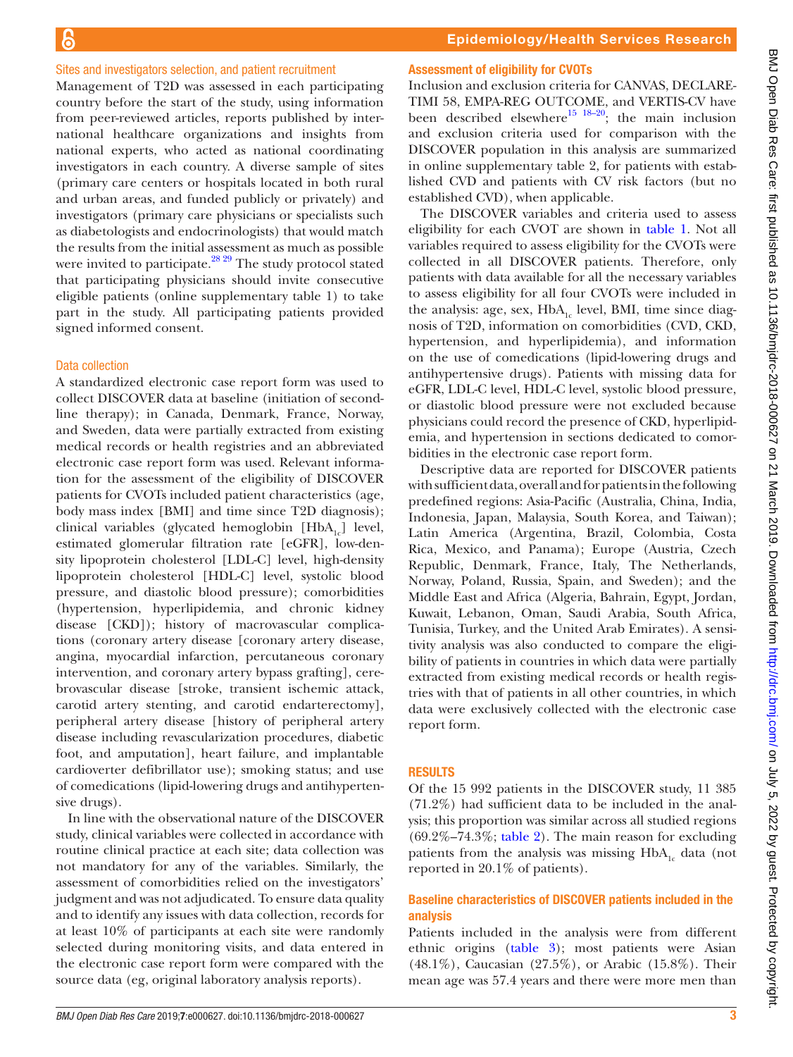#### Sites and investigators selection, and patient recruitment

Management of T2D was assessed in each participating country before the start of the study, using information from peer-reviewed articles, reports published by international healthcare organizations and insights from national experts, who acted as national coordinating investigators in each country. A diverse sample of sites (primary care centers or hospitals located in both rural and urban areas, and funded publicly or privately) and investigators (primary care physicians or specialists such as diabetologists and endocrinologists) that would match the results from the initial assessment as much as possible were invited to participate.<sup>[28 29](#page-9-6)</sup> The study protocol stated that participating physicians should invite consecutive eligible patients ([online supplementary table 1\)](https://dx.doi.org/10.1136/bmjdrc-2018-000627) to take part in the study. All participating patients provided signed informed consent.

#### Data collection

A standardized electronic case report form was used to collect DISCOVER data at baseline (initiation of secondline therapy); in Canada, Denmark, France, Norway, and Sweden, data were partially extracted from existing medical records or health registries and an abbreviated electronic case report form was used. Relevant information for the assessment of the eligibility of DISCOVER patients for CVOTs included patient characteristics (age, body mass index [BMI] and time since T2D diagnosis); clinical variables (glycated hemoglobin  $[HbA_{1c}]$  level, estimated glomerular filtration rate [eGFR], low-density lipoprotein cholesterol [LDL-C] level, high-density lipoprotein cholesterol [HDL-C] level, systolic blood pressure, and diastolic blood pressure); comorbidities (hypertension, hyperlipidemia, and chronic kidney disease [CKD]); history of macrovascular complications (coronary artery disease [coronary artery disease, angina, myocardial infarction, percutaneous coronary intervention, and coronary artery bypass grafting], cerebrovascular disease [stroke, transient ischemic attack, carotid artery stenting, and carotid endarterectomy], peripheral artery disease [history of peripheral artery disease including revascularization procedures, diabetic foot, and amputation], heart failure, and implantable cardioverter defibrillator use); smoking status; and use of comedications (lipid-lowering drugs and antihypertensive drugs).

In line with the observational nature of the DISCOVER study, clinical variables were collected in accordance with routine clinical practice at each site; data collection was not mandatory for any of the variables. Similarly, the assessment of comorbidities relied on the investigators' judgment and was not adjudicated. To ensure data quality and to identify any issues with data collection, records for at least 10% of participants at each site were randomly selected during monitoring visits, and data entered in the electronic case report form were compared with the source data (eg, original laboratory analysis reports).

#### Assessment of eligibility for CVOTs

Inclusion and exclusion criteria for CANVAS, DECLARE-TIMI 58, EMPA-REG OUTCOME, and VERTIS-CV have been described elsewhere<sup>15 18–20</sup>; the main inclusion and exclusion criteria used for comparison with the DISCOVER population in this analysis are summarized in [online supplementary table 2,](https://dx.doi.org/10.1136/bmjdrc-2018-000627) for patients with established CVD and patients with CV risk factors (but no established CVD), when applicable.

The DISCOVER variables and criteria used to assess eligibility for each CVOT are shown in [table](#page-3-0) 1. Not all variables required to assess eligibility for the CVOTs were collected in all DISCOVER patients. Therefore, only patients with data available for all the necessary variables to assess eligibility for all four CVOTs were included in the analysis: age, sex,  $HbA_{1c}$  level, BMI, time since diagnosis of T2D, information on comorbidities (CVD, CKD, hypertension, and hyperlipidemia), and information on the use of comedications (lipid-lowering drugs and antihypertensive drugs). Patients with missing data for eGFR, LDL-C level, HDL-C level, systolic blood pressure, or diastolic blood pressure were not excluded because physicians could record the presence of CKD, hyperlipidemia, and hypertension in sections dedicated to comorbidities in the electronic case report form.

Descriptive data are reported for DISCOVER patients with sufficient data, overall and for patients in the following predefined regions: Asia-Pacific (Australia, China, India, Indonesia, Japan, Malaysia, South Korea, and Taiwan); Latin America (Argentina, Brazil, Colombia, Costa Rica, Mexico, and Panama); Europe (Austria, Czech Republic, Denmark, France, Italy, The Netherlands, Norway, Poland, Russia, Spain, and Sweden); and the Middle East and Africa (Algeria, Bahrain, Egypt, Jordan, Kuwait, Lebanon, Oman, Saudi Arabia, South Africa, Tunisia, Turkey, and the United Arab Emirates). A sensitivity analysis was also conducted to compare the eligibility of patients in countries in which data were partially extracted from existing medical records or health registries with that of patients in all other countries, in which data were exclusively collected with the electronic case report form.

#### **RESULTS**

Of the 15 992 patients in the DISCOVER study, 11 385 (71.2%) had sufficient data to be included in the analysis; this proportion was similar across all studied regions (69.2%–74.3%; [table](#page-4-0) 2). The main reason for excluding patients from the analysis was missing  $HbA<sub>1c</sub>$  data (not reported in 20.1% of patients).

#### Baseline characteristics of DISCOVER patients included in the analysis

Patients included in the analysis were from different ethnic origins ([table](#page-5-0) 3); most patients were Asian (48.1%), Caucasian (27.5%), or Arabic (15.8%). Their mean age was 57.4 years and there were more men than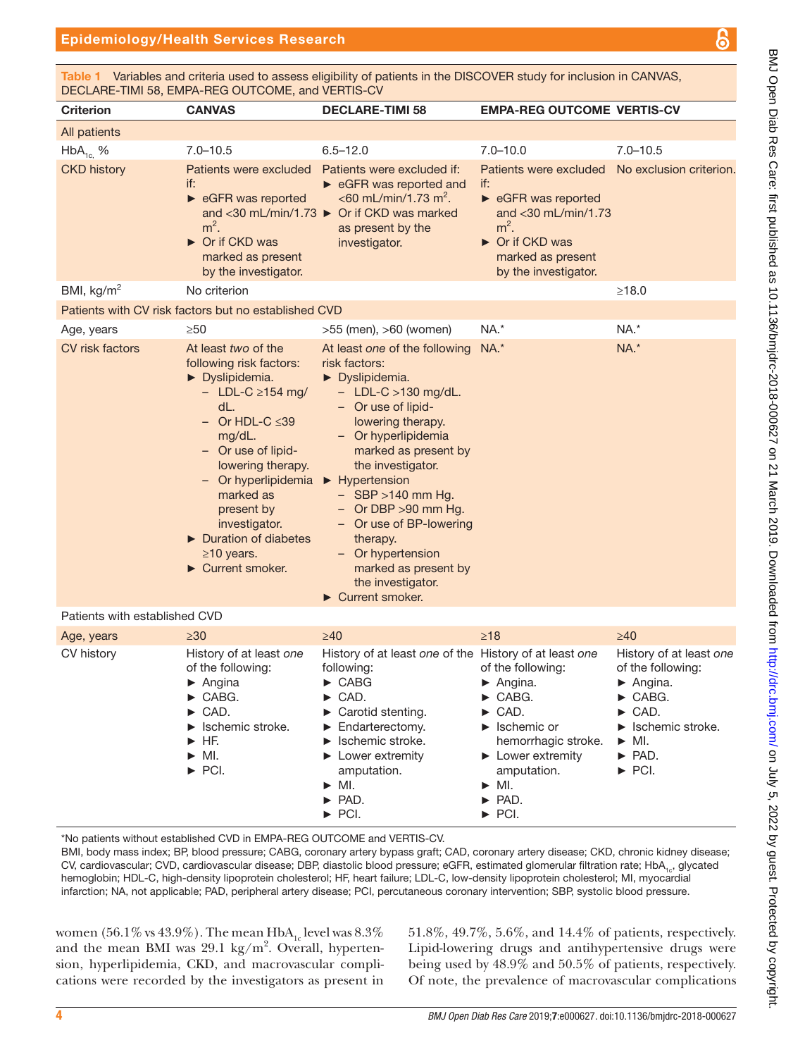#### <span id="page-3-0"></span>Table 1 Variables and criteria used to assess eligibility of patients in the DISCOVER study for inclusion in CANVAS, DECLARE-TIMI 58, EMPA-REG OUTCOME, and VERTIS-CV

| <b>Criterion</b>                                     | <b>CANVAS</b>                                                                                                                                                                                                                                                                                                                     | <b>DECLARE-TIMI 58</b>                                                                                                                                                                                                                                                                                                                                                                                                                            | <b>EMPA-REG OUTCOME VERTIS-CV</b>                                                                                                                                                                                                                  |                                                                                                                                                                                                        |  |  |  |  |  |
|------------------------------------------------------|-----------------------------------------------------------------------------------------------------------------------------------------------------------------------------------------------------------------------------------------------------------------------------------------------------------------------------------|---------------------------------------------------------------------------------------------------------------------------------------------------------------------------------------------------------------------------------------------------------------------------------------------------------------------------------------------------------------------------------------------------------------------------------------------------|----------------------------------------------------------------------------------------------------------------------------------------------------------------------------------------------------------------------------------------------------|--------------------------------------------------------------------------------------------------------------------------------------------------------------------------------------------------------|--|--|--|--|--|
| All patients                                         |                                                                                                                                                                                                                                                                                                                                   |                                                                                                                                                                                                                                                                                                                                                                                                                                                   |                                                                                                                                                                                                                                                    |                                                                                                                                                                                                        |  |  |  |  |  |
| $HbA_{1c}$ %                                         | $7.0 - 10.5$                                                                                                                                                                                                                                                                                                                      | $6.5 - 12.0$                                                                                                                                                                                                                                                                                                                                                                                                                                      | $7.0 - 10.0$                                                                                                                                                                                                                                       | $7.0 - 10.5$                                                                                                                                                                                           |  |  |  |  |  |
| <b>CKD history</b>                                   | Patients were excluded<br>if:<br>$\triangleright$ eGFR was reported<br>$m2$ .<br>$\triangleright$ Or if CKD was<br>marked as present<br>by the investigator.                                                                                                                                                                      | Patients were excluded if:<br>$\triangleright$ eGFR was reported and<br>$<$ 60 mL/min/1.73 m <sup>2</sup> .<br>and <30 mL/min/1.73 $\triangleright$ Or if CKD was marked<br>as present by the<br>investigator.                                                                                                                                                                                                                                    | Patients were excluded<br>if:<br>$\triangleright$ eGFR was reported<br>and $<$ 30 mL/min/1.73<br>$m2$ .<br>$\triangleright$ Or if CKD was<br>marked as present<br>by the investigator.                                                             | No exclusion criterion.                                                                                                                                                                                |  |  |  |  |  |
| BMI, $kg/m2$                                         | No criterion                                                                                                                                                                                                                                                                                                                      |                                                                                                                                                                                                                                                                                                                                                                                                                                                   |                                                                                                                                                                                                                                                    | ≥18.0                                                                                                                                                                                                  |  |  |  |  |  |
| Patients with CV risk factors but no established CVD |                                                                                                                                                                                                                                                                                                                                   |                                                                                                                                                                                                                                                                                                                                                                                                                                                   |                                                                                                                                                                                                                                                    |                                                                                                                                                                                                        |  |  |  |  |  |
| Age, years                                           | $\geq 50$                                                                                                                                                                                                                                                                                                                         | $>55$ (men), $>60$ (women)                                                                                                                                                                                                                                                                                                                                                                                                                        | NA.*                                                                                                                                                                                                                                               | NA.*                                                                                                                                                                                                   |  |  |  |  |  |
| CV risk factors                                      | At least two of the<br>following risk factors:<br>$\triangleright$ Dyslipidemia.<br>$-LDL-C \geq 154$ mg/<br>dL.<br>$-$ Or HDL-C $\leq$ 39<br>mg/dL.<br>- Or use of lipid-<br>lowering therapy.<br>- Or hyperlipidemia<br>marked as<br>present by<br>investigator.<br>Duration of diabetes<br>$\geq 10$ years.<br>Current smoker. | At least one of the following<br>risk factors:<br>Dyslipidemia.<br>$-$ LDL-C >130 mg/dL.<br>- Or use of lipid-<br>lowering therapy.<br>- Or hyperlipidemia<br>marked as present by<br>the investigator.<br>$\blacktriangleright$ Hypertension<br>$-$ SBP >140 mm Hg.<br>$-$ Or DBP $>90$ mm Hg.<br>- Or use of BP-lowering<br>therapy.<br>- Or hypertension<br>marked as present by<br>the investigator.<br>$\blacktriangleright$ Current smoker. | $NA.*$                                                                                                                                                                                                                                             | NA.*                                                                                                                                                                                                   |  |  |  |  |  |
| Patients with established CVD                        |                                                                                                                                                                                                                                                                                                                                   |                                                                                                                                                                                                                                                                                                                                                                                                                                                   |                                                                                                                                                                                                                                                    |                                                                                                                                                                                                        |  |  |  |  |  |
| Age, years                                           | $\geq 30$                                                                                                                                                                                                                                                                                                                         | $\geq 40$                                                                                                                                                                                                                                                                                                                                                                                                                                         | $\geq 18$                                                                                                                                                                                                                                          | $\geq 40$                                                                                                                                                                                              |  |  |  |  |  |
| CV history                                           | History of at least one<br>of the following:<br>$\blacktriangleright$ Angina<br>$\blacktriangleright$ CABG.<br>CAD.<br>Ischemic stroke.<br>HF.<br>$\blacktriangleright$ MI.<br>$\blacktriangleright$ PCI.                                                                                                                         | History of at least one of the History of at least one<br>following:<br>$\triangleright$ CABG<br>$\triangleright$ CAD.<br>$\blacktriangleright$ Carotid stenting.<br>Endarterectomy.<br>▶<br>Ischemic stroke.<br>▶<br>$\blacktriangleright$ Lower extremity<br>amputation.<br>$\triangleright$ MI.<br>$\blacktriangleright$ PAD.                                                                                                                  | of the following:<br>$\blacktriangleright$ Angina.<br>$\blacktriangleright$ CABG.<br>CAD.<br>Ischemic or<br>hemorrhagic stroke.<br>$\blacktriangleright$ Lower extremity<br>amputation.<br>$\blacktriangleright$ MI.<br>$\blacktriangleright$ PAD. | History of at least one<br>of the following:<br>$\blacktriangleright$ Angina.<br>$\triangleright$ CABG.<br>CAD.<br>Ischemic stroke.<br>MI.<br>$\blacktriangleright$ PAD.<br>$\blacktriangleright$ PCI. |  |  |  |  |  |

\*No patients without established CVD in EMPA-REG OUTCOME and VERTIS-CV.

BMI, body mass index; BP, blood pressure; CABG, coronary artery bypass graft; CAD, coronary artery disease; CKD, chronic kidney disease; CV, cardiovascular; CVD, cardiovascular disease; DBP, diastolic blood pressure; eGFR, estimated glomerular filtration rate; HbA<sub>1c</sub>, glycated hemoglobin; HDL-C, high-density lipoprotein cholesterol; HF, heart failure; LDL-C, low-density lipoprotein cholesterol; MI, myocardial infarction; NA, not applicable; PAD, peripheral artery disease; PCI, percutaneous coronary intervention; SBP, systolic blood pressure.

► PCI.

women (56.1% vs 43.9%). The mean  $HbA<sub>1c</sub>$  level was 8.3% and the mean BMI was 29.1 kg/m<sup>2</sup>. Overall, hypertension, hyperlipidemia, CKD, and macrovascular complications were recorded by the investigators as present in

51.8%, 49.7%, 5.6%, and 14.4% of patients, respectively. Lipid-lowering drugs and antihypertensive drugs were being used by 48.9% and 50.5% of patients, respectively. Of note, the prevalence of macrovascular complications

► PCI.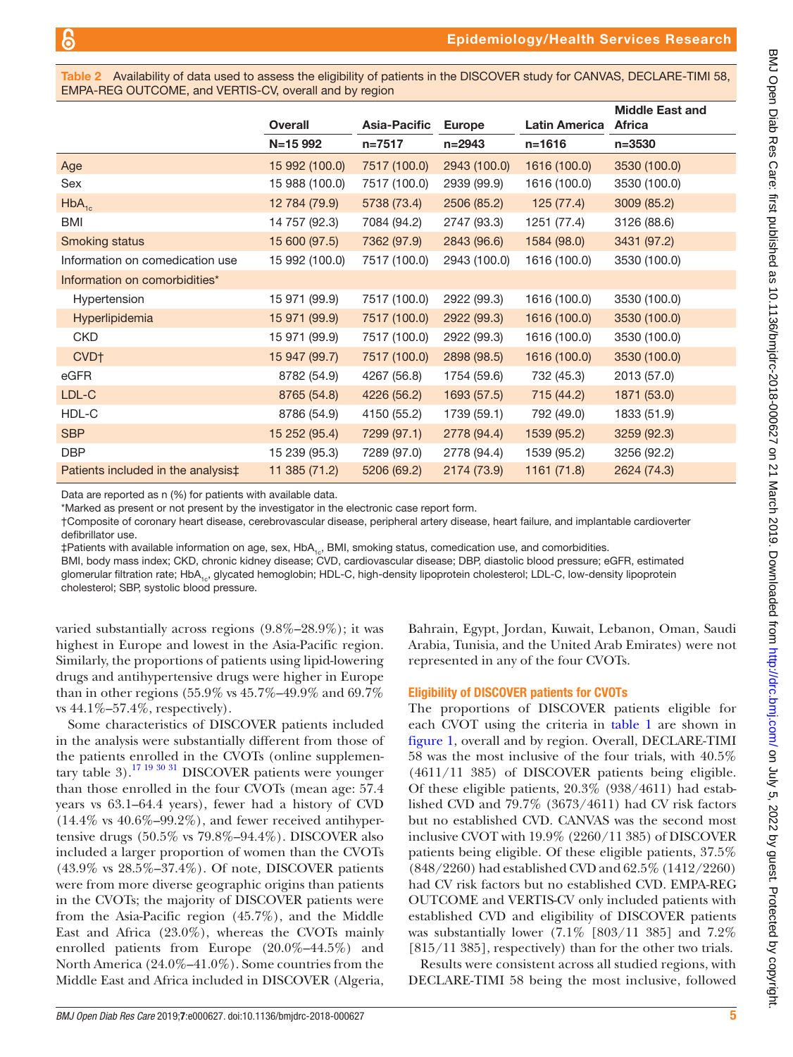<span id="page-4-0"></span>Availability of data used to assess the eligibility of patients in the DISCOVER study for CANVAS, DECLARE-TIMI 58, EMPA-REG OUTCOME, and VERTIS-CV, overall and by region

|                                    | <b>Overall</b> | <b>Asia-Pacific</b> | <b>Europe</b> | <b>Latin America</b> | <b>Middle East and</b><br><b>Africa</b> |
|------------------------------------|----------------|---------------------|---------------|----------------------|-----------------------------------------|
|                                    | N=15 992       | $n = 7517$          | $n = 2943$    | $n = 1616$           | $n = 3530$                              |
| Age                                | 15 992 (100.0) | 7517 (100.0)        | 2943 (100.0)  | 1616 (100.0)         | 3530 (100.0)                            |
| Sex                                | 15 988 (100.0) | 7517 (100.0)        | 2939 (99.9)   | 1616 (100.0)         | 3530 (100.0)                            |
| $HbA_{1c}$                         | 12 784 (79.9)  | 5738 (73.4)         | 2506 (85.2)   | 125(77.4)            | 3009(85.2)                              |
| BMI                                | 14 757 (92.3)  | 7084 (94.2)         | 2747 (93.3)   | 1251 (77.4)          | 3126 (88.6)                             |
| <b>Smoking status</b>              | 15 600 (97.5)  | 7362 (97.9)         | 2843 (96.6)   | 1584 (98.0)          | 3431 (97.2)                             |
| Information on comedication use    | 15 992 (100.0) | 7517 (100.0)        | 2943 (100.0)  | 1616 (100.0)         | 3530 (100.0)                            |
| Information on comorbidities*      |                |                     |               |                      |                                         |
| Hypertension                       | 15 971 (99.9)  | 7517 (100.0)        | 2922 (99.3)   | 1616 (100.0)         | 3530 (100.0)                            |
| Hyperlipidemia                     | 15 971 (99.9)  | 7517 (100.0)        | 2922 (99.3)   | 1616 (100.0)         | 3530 (100.0)                            |
| <b>CKD</b>                         | 15 971 (99.9)  | 7517 (100.0)        | 2922 (99.3)   | 1616 (100.0)         | 3530 (100.0)                            |
| CVD <sup>+</sup>                   | 15 947 (99.7)  | 7517 (100.0)        | 2898 (98.5)   | 1616 (100.0)         | 3530 (100.0)                            |
| eGFR                               | 8782 (54.9)    | 4267 (56.8)         | 1754 (59.6)   | 732 (45.3)           | 2013 (57.0)                             |
| LDL-C                              | 8765 (54.8)    | 4226 (56.2)         | 1693 (57.5)   | 715 (44.2)           | 1871 (53.0)                             |
| HDL-C                              | 8786 (54.9)    | 4150 (55.2)         | 1739 (59.1)   | 792 (49.0)           | 1833 (51.9)                             |
| <b>SBP</b>                         | 15 252 (95.4)  | 7299 (97.1)         | 2778 (94.4)   | 1539 (95.2)          | 3259 (92.3)                             |
| <b>DBP</b>                         | 15 239 (95.3)  | 7289 (97.0)         | 2778 (94.4)   | 1539 (95.2)          | 3256 (92.2)                             |
| Patients included in the analysist | 11 385 (71.2)  | 5206 (69.2)         | 2174 (73.9)   | 1161 (71.8)          | 2624 (74.3)                             |

Data are reported as n (%) for patients with available data.

\*Marked as present or not present by the investigator in the electronic case report form.

†Composite of coronary heart disease, cerebrovascular disease, peripheral artery disease, heart failure, and implantable cardioverter defibrillator use.

‡Patients with available information on age, sex, HbA<sub>1c</sub>, BMI, smoking status, comedication use, and comorbidities.

BMI, body mass index; CKD, chronic kidney disease; CVD, cardiovascular disease; DBP, diastolic blood pressure; eGFR, estimated glomerular filtration rate; HbA<sub>1c</sub>, glycated hemoglobin; HDL-C, high-density lipoprotein cholesterol; LDL-C, low-density lipoprotein cholesterol; SBP, systolic blood pressure.

varied substantially across regions (9.8%–28.9%); it was highest in Europe and lowest in the Asia-Pacific region. Similarly, the proportions of patients using lipid-lowering drugs and antihypertensive drugs were higher in Europe than in other regions (55.9% vs 45.7%–49.9% and 69.7% vs  $44.1\% - 57.4\%$ , respectively).

Some characteristics of DISCOVER patients included in the analysis were substantially different from those of the patients enrolled in the CVOTs ([online supplemen](https://dx.doi.org/10.1136/bmjdrc-2018-000627)[tary table 3\)](https://dx.doi.org/10.1136/bmjdrc-2018-000627).[17 19 30 31](#page-8-7) DISCOVER patients were younger than those enrolled in the four CVOTs (mean age: 57.4 years vs 63.1–64.4 years), fewer had a history of CVD  $(14.4\% \text{ vs } 40.6\% - 99.2\%)$ , and fewer received antihypertensive drugs (50.5% vs 79.8%–94.4%). DISCOVER also included a larger proportion of women than the CVOTs (43.9% vs 28.5%–37.4%). Of note, DISCOVER patients were from more diverse geographic origins than patients in the CVOTs; the majority of DISCOVER patients were from the Asia-Pacific region (45.7%), and the Middle East and Africa (23.0%), whereas the CVOTs mainly enrolled patients from Europe (20.0%–44.5%) and North America (24.0%–41.0%). Some countries from the Middle East and Africa included in DISCOVER (Algeria,

Bahrain, Egypt, Jordan, Kuwait, Lebanon, Oman, Saudi Arabia, Tunisia, and the United Arab Emirates) were not represented in any of the four CVOTs.

#### Eligibility of DISCOVER patients for CVOTs

The proportions of DISCOVER patients eligible for each CVOT using the criteria in [table](#page-3-0) 1 are shown in [figure](#page-6-0) 1, overall and by region. Overall, DECLARE-TIMI 58 was the most inclusive of the four trials, with 40.5% (4611/11 385) of DISCOVER patients being eligible. Of these eligible patients, 20.3% (938/4611) had established CVD and 79.7% (3673/4611) had CV risk factors but no established CVD. CANVAS was the second most inclusive CVOT with 19.9% (2260/11 385) of DISCOVER patients being eligible. Of these eligible patients, 37.5% (848/2260) had established CVD and 62.5% (1412/2260) had CV risk factors but no established CVD. EMPA-REG OUTCOME and VERTIS-CV only included patients with established CVD and eligibility of DISCOVER patients was substantially lower (7.1% [803/11 385] and 7.2% [815/11 385], respectively) than for the other two trials.

Results were consistent across all studied regions, with DECLARE-TIMI 58 being the most inclusive, followed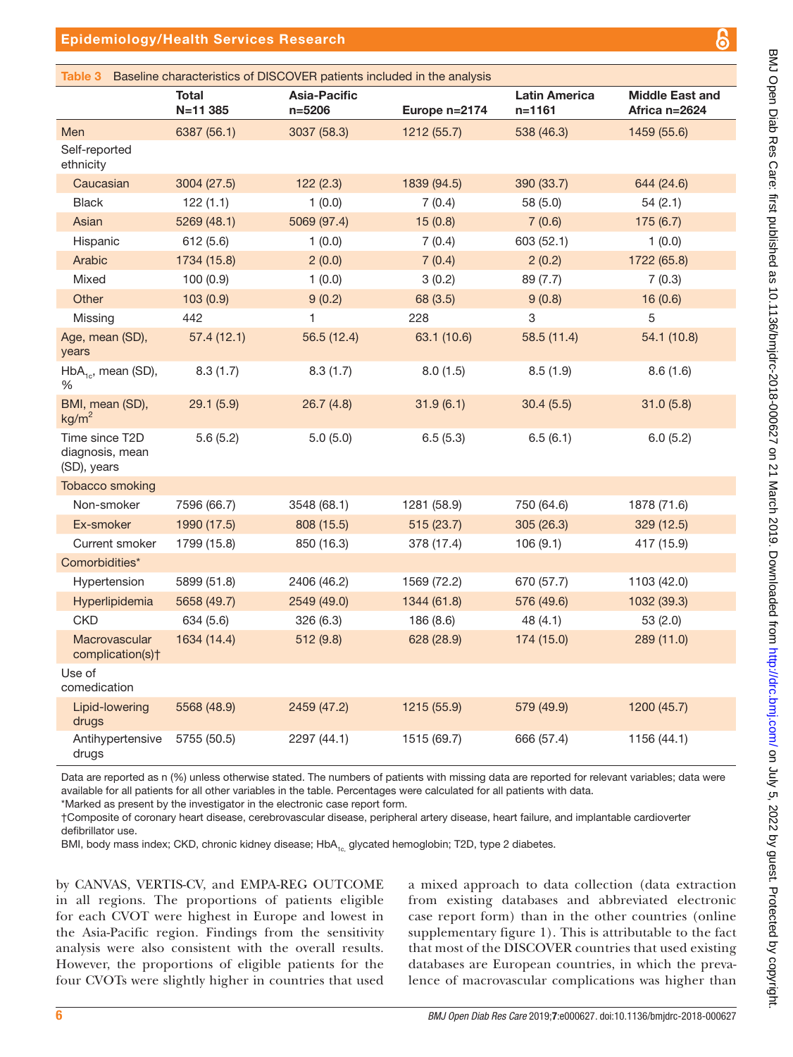### Epidemiology/Health Services Research

<span id="page-5-0"></span>

| Baseline characteristics of DISCOVER patients included in the analysis<br>Table 3 |                          |                            |               |                                    |                                         |  |  |  |
|-----------------------------------------------------------------------------------|--------------------------|----------------------------|---------------|------------------------------------|-----------------------------------------|--|--|--|
|                                                                                   | <b>Total</b><br>N=11 385 | Asia-Pacific<br>$n = 5206$ | Europe n=2174 | <b>Latin America</b><br>$n = 1161$ | <b>Middle East and</b><br>Africa n=2624 |  |  |  |
| Men                                                                               | 6387 (56.1)              | 3037 (58.3)                | 1212 (55.7)   | 538 (46.3)                         | 1459 (55.6)                             |  |  |  |
| Self-reported<br>ethnicity                                                        |                          |                            |               |                                    |                                         |  |  |  |
| Caucasian                                                                         | 3004 (27.5)              | 122(2.3)                   | 1839 (94.5)   | 390 (33.7)                         | 644 (24.6)                              |  |  |  |
| <b>Black</b>                                                                      | 122(1.1)                 | 1(0.0)                     | 7(0.4)        | 58 (5.0)                           | 54(2.1)                                 |  |  |  |
| Asian                                                                             | 5269 (48.1)              | 5069 (97.4)                | 15(0.8)       | 7(0.6)                             | 175(6.7)                                |  |  |  |
| Hispanic                                                                          | 612(5.6)                 | 1(0.0)                     | 7(0.4)        | 603 (52.1)                         | 1(0.0)                                  |  |  |  |
| Arabic                                                                            | 1734 (15.8)              | 2(0.0)                     | 7(0.4)        | 2(0.2)                             | 1722 (65.8)                             |  |  |  |
| Mixed                                                                             | 100 (0.9)                | 1(0.0)                     | 3(0.2)        | 89 (7.7)                           | 7(0.3)                                  |  |  |  |
| Other                                                                             | 103(0.9)                 | 9(0.2)                     | 68 (3.5)      | 9(0.8)                             | 16(0.6)                                 |  |  |  |
| Missing                                                                           | 442                      | 1                          | 228           | 3                                  | 5                                       |  |  |  |
| Age, mean (SD),<br>years                                                          | 57.4(12.1)               | 56.5 (12.4)                | 63.1 (10.6)   | 58.5 (11.4)                        | 54.1 (10.8)                             |  |  |  |
| $HbA_{1c}$ , mean (SD),<br>℅                                                      | 8.3(1.7)                 | 8.3(1.7)                   | 8.0(1.5)      | 8.5(1.9)                           | 8.6(1.6)                                |  |  |  |
| BMI, mean (SD),<br>kg/m <sup>2</sup>                                              | 29.1(5.9)                | 26.7(4.8)                  | 31.9(6.1)     | 30.4(5.5)                          | 31.0(5.8)                               |  |  |  |
| Time since T2D<br>diagnosis, mean<br>(SD), years                                  | 5.6(5.2)                 | 5.0(5.0)                   | 6.5(5.3)      | 6.5(6.1)                           | 6.0(5.2)                                |  |  |  |
| <b>Tobacco smoking</b>                                                            |                          |                            |               |                                    |                                         |  |  |  |
| Non-smoker                                                                        | 7596 (66.7)              | 3548 (68.1)                | 1281 (58.9)   | 750 (64.6)                         | 1878 (71.6)                             |  |  |  |
| Ex-smoker                                                                         | 1990 (17.5)              | 808 (15.5)                 | 515 (23.7)    | 305 (26.3)                         | 329 (12.5)                              |  |  |  |
| Current smoker                                                                    | 1799 (15.8)              | 850 (16.3)                 | 378 (17.4)    | 106(9.1)                           | 417 (15.9)                              |  |  |  |
| Comorbidities*                                                                    |                          |                            |               |                                    |                                         |  |  |  |
| Hypertension                                                                      | 5899 (51.8)              | 2406 (46.2)                | 1569 (72.2)   | 670 (57.7)                         | 1103 (42.0)                             |  |  |  |
| Hyperlipidemia                                                                    | 5658 (49.7)              | 2549 (49.0)                | 1344 (61.8)   | 576 (49.6)                         | 1032 (39.3)                             |  |  |  |
| <b>CKD</b>                                                                        | 634 (5.6)                | 326 (6.3)                  | 186 (8.6)     | 48 (4.1)                           | 53(2.0)                                 |  |  |  |
| Macrovascular<br>complication(s)+                                                 | 1634 (14.4)              | 512 (9.8)                  | 628 (28.9)    | 174 (15.0)                         | 289 (11.0)                              |  |  |  |
| Use of<br>comedication                                                            |                          |                            |               |                                    |                                         |  |  |  |
| Lipid-lowering<br>drugs                                                           | 5568 (48.9)              | 2459 (47.2)                | 1215 (55.9)   | 579 (49.9)                         | 1200 (45.7)                             |  |  |  |
| Antihypertensive<br>drugs                                                         | 5755 (50.5)              | 2297 (44.1)                | 1515 (69.7)   | 666 (57.4)                         | 1156 (44.1)                             |  |  |  |

Data are reported as n (%) unless otherwise stated. The numbers of patients with missing data are reported for relevant variables; data were available for all patients for all other variables in the table. Percentages were calculated for all patients with data.

\*Marked as present by the investigator in the electronic case report form.

†Composite of coronary heart disease, cerebrovascular disease, peripheral artery disease, heart failure, and implantable cardioverter defibrillator use.

BMI, body mass index; CKD, chronic kidney disease; HbA<sub>1c</sub> glycated hemoglobin; T2D, type 2 diabetes.

by CANVAS, VERTIS-CV, and EMPA-REG OUTCOME in all regions. The proportions of patients eligible for each CVOT were highest in Europe and lowest in the Asia-Pacific region. Findings from the sensitivity analysis were also consistent with the overall results. However, the proportions of eligible patients for the four CVOTs were slightly higher in countries that used

a mixed approach to data collection (data extraction from existing databases and abbreviated electronic case report form) than in the other countries ([online](https://dx.doi.org/10.1136/bmjdrc-2018-000627) [supplementary figure 1\)](https://dx.doi.org/10.1136/bmjdrc-2018-000627). This is attributable to the fact that most of the DISCOVER countries that used existing databases are European countries, in which the prevalence of macrovascular complications was higher than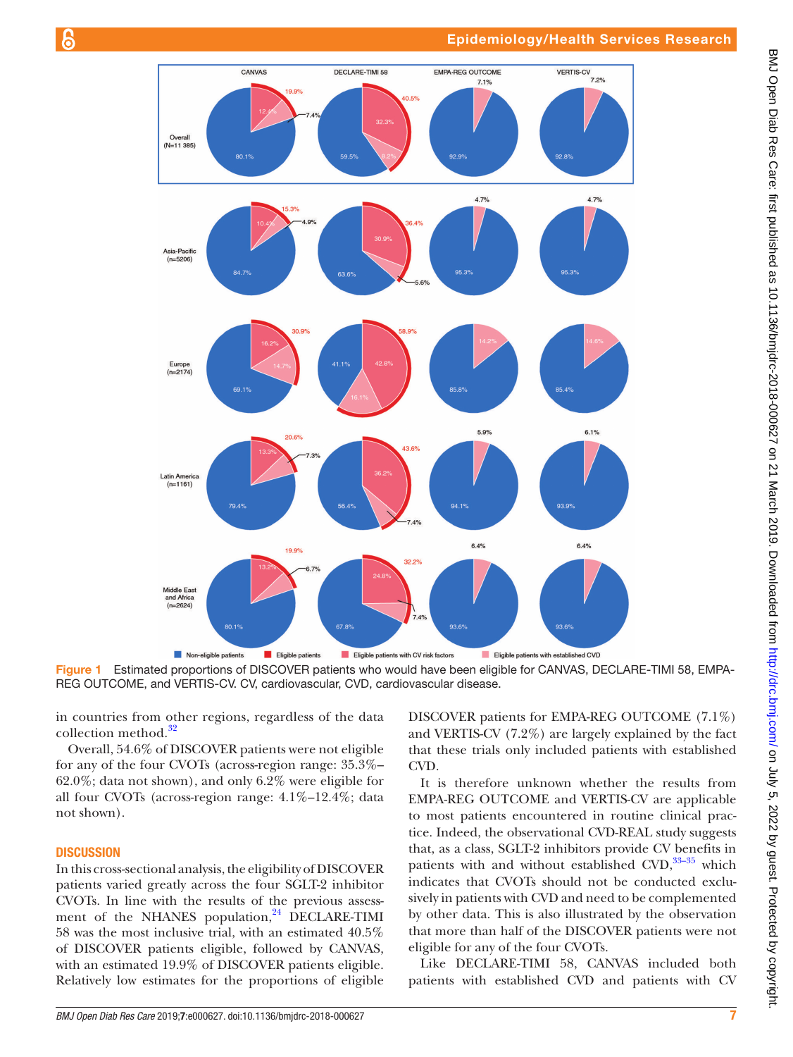

Figure 1 Estimated proportions of DISCOVER patients who would have been eligible for CANVAS, DECLARE-TIMI 58, EMPA-REG OUTCOME, and VERTIS-CV. CV, cardiovascular, CVD, cardiovascular disease.

in countries from other regions, regardless of the data collection method. $32$ 

Overall, 54.6% of DISCOVER patients were not eligible for any of the four CVOTs (across-region range: 35.3%– 62.0%; data not shown), and only 6.2% were eligible for all four CVOTs (across-region range: 4.1%–12.4%; data not shown).

#### **DISCUSSION**

In this cross-sectional analysis, the eligibility of DISCOVER patients varied greatly across the four SGLT-2 inhibitor CVOTs. In line with the results of the previous assessment of the NHANES population, $^{24}$  DECLARE-TIMI 58 was the most inclusive trial, with an estimated 40.5% of DISCOVER patients eligible, followed by CANVAS, with an estimated 19.9% of DISCOVER patients eligible. Relatively low estimates for the proportions of eligible

<span id="page-6-0"></span>DISCOVER patients for EMPA-REG OUTCOME (7.1%) and VERTIS-CV (7.2%) are largely explained by the fact that these trials only included patients with established CVD.

It is therefore unknown whether the results from EMPA-REG OUTCOME and VERTIS-CV are applicable to most patients encountered in routine clinical practice. Indeed, the observational CVD-REAL study suggests that, as a class, SGLT-2 inhibitors provide CV benefits in patients with and without established CVD,<sup>33-35</sup> which indicates that CVOTs should not be conducted exclusively in patients with CVD and need to be complemented by other data. This is also illustrated by the observation that more than half of the DISCOVER patients were not eligible for any of the four CVOTs.

Like DECLARE-TIMI 58, CANVAS included both patients with established CVD and patients with CV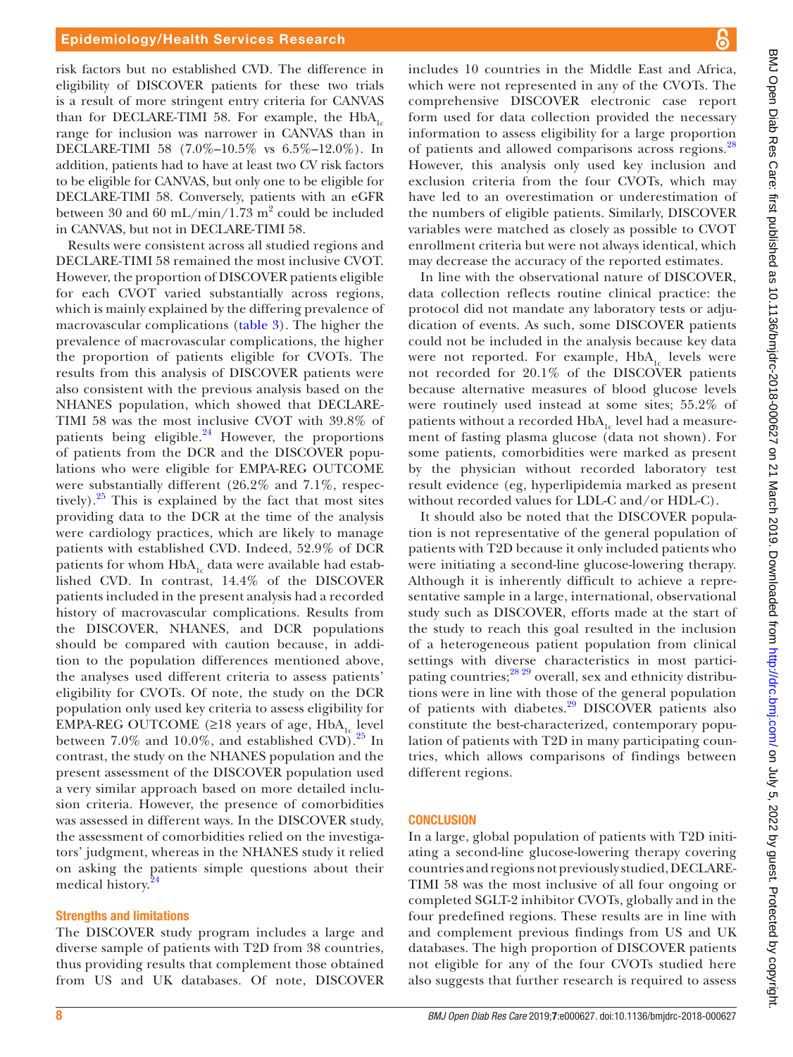risk factors but no established CVD. The difference in eligibility of DISCOVER patients for these two trials is a result of more stringent entry criteria for CANVAS than for DECLARE-TIMI 58. For example, the  $HbA<sub>1c</sub>$ range for inclusion was narrower in CANVAS than in DECLARE-TIMI 58 (7.0%–10.5% vs 6.5%–12.0%). In addition, patients had to have at least two CV risk factors to be eligible for CANVAS, but only one to be eligible for DECLARE-TIMI 58. Conversely, patients with an eGFR between 30 and 60 mL/min/1.73  $m^2$  could be included in CANVAS, but not in DECLARE-TIMI 58.

Results were consistent across all studied regions and DECLARE-TIMI 58 remained the most inclusive CVOT. However, the proportion of DISCOVER patients eligible for each CVOT varied substantially across regions, which is mainly explained by the differing prevalence of macrovascular complications [\(table](#page-5-0) 3). The higher the prevalence of macrovascular complications, the higher the proportion of patients eligible for CVOTs. The results from this analysis of DISCOVER patients were also consistent with the previous analysis based on the NHANES population, which showed that DECLARE-TIMI 58 was the most inclusive CVOT with 39.8% of patients being eligible.<sup>[24](#page-9-2)</sup> However, the proportions of patients from the DCR and the DISCOVER populations who were eligible for EMPA-REG OUTCOME were substantially different (26.2% and 7.1%, respectively). $25$  This is explained by the fact that most sites providing data to the DCR at the time of the analysis were cardiology practices, which are likely to manage patients with established CVD. Indeed, 52.9% of DCR patients for whom  $HbA_{1c}$  data were available had established CVD. In contrast, 14.4% of the DISCOVER patients included in the present analysis had a recorded history of macrovascular complications. Results from the DISCOVER, NHANES, and DCR populations should be compared with caution because, in addition to the population differences mentioned above, the analyses used different criteria to assess patients' eligibility for CVOTs. Of note, the study on the DCR population only used key criteria to assess eligibility for EMPA-REG OUTCOME  $(218 \text{ years of age}, \text{HbA}_1 \text{ level})$ between  $7.0\%$  and  $10.0\%$ , and established CVD).<sup>25</sup> In contrast, the study on the NHANES population and the present assessment of the DISCOVER population used a very similar approach based on more detailed inclusion criteria. However, the presence of comorbidities was assessed in different ways. In the DISCOVER study, the assessment of comorbidities relied on the investigators' judgment, whereas in the NHANES study it relied on asking the patients simple questions about their medical history.<sup>[24](#page-9-2)</sup>

#### Strengths and limitations

The DISCOVER study program includes a large and diverse sample of patients with T2D from 38 countries, thus providing results that complement those obtained from US and UK databases. Of note, DISCOVER

includes 10 countries in the Middle East and Africa, which were not represented in any of the CVOTs. The comprehensive DISCOVER electronic case report form used for data collection provided the necessary information to assess eligibility for a large proportion of patients and allowed comparisons across regions.[28](#page-9-6) However, this analysis only used key inclusion and exclusion criteria from the four CVOTs, which may have led to an overestimation or underestimation of the numbers of eligible patients. Similarly, DISCOVER variables were matched as closely as possible to CVOT enrollment criteria but were not always identical, which may decrease the accuracy of the reported estimates.

In line with the observational nature of DISCOVER, data collection reflects routine clinical practice: the protocol did not mandate any laboratory tests or adjudication of events. As such, some DISCOVER patients could not be included in the analysis because key data were not reported. For example,  $HbA_1$  levels were not recorded for 20.1% of the DISCOVER patients because alternative measures of blood glucose levels were routinely used instead at some sites; 55.2% of patients without a recorded HbA<sub>1</sub> level had a measurement of fasting plasma glucose (data not shown). For some patients, comorbidities were marked as present by the physician without recorded laboratory test result evidence (eg, hyperlipidemia marked as present without recorded values for LDL-C and/or HDL-C).

It should also be noted that the DISCOVER population is not representative of the general population of patients with T2D because it only included patients who were initiating a second-line glucose-lowering therapy. Although it is inherently difficult to achieve a representative sample in a large, international, observational study such as DISCOVER, efforts made at the start of the study to reach this goal resulted in the inclusion of a heterogeneous patient population from clinical settings with diverse characteristics in most participating countries; $^{28\,29}$  overall, sex and ethnicity distributions were in line with those of the general population of patients with diabetes.<sup>[29](#page-9-9)</sup> DISCOVER patients also constitute the best-characterized, contemporary population of patients with T2D in many participating countries, which allows comparisons of findings between different regions.

#### **CONCLUSION**

In a large, global population of patients with T2D initiating a second-line glucose-lowering therapy covering countries and regions not previously studied, DECLARE-TIMI 58 was the most inclusive of all four ongoing or completed SGLT-2 inhibitor CVOTs, globally and in the four predefined regions. These results are in line with and complement previous findings from US and UK databases. The high proportion of DISCOVER patients not eligible for any of the four CVOTs studied here also suggests that further research is required to assess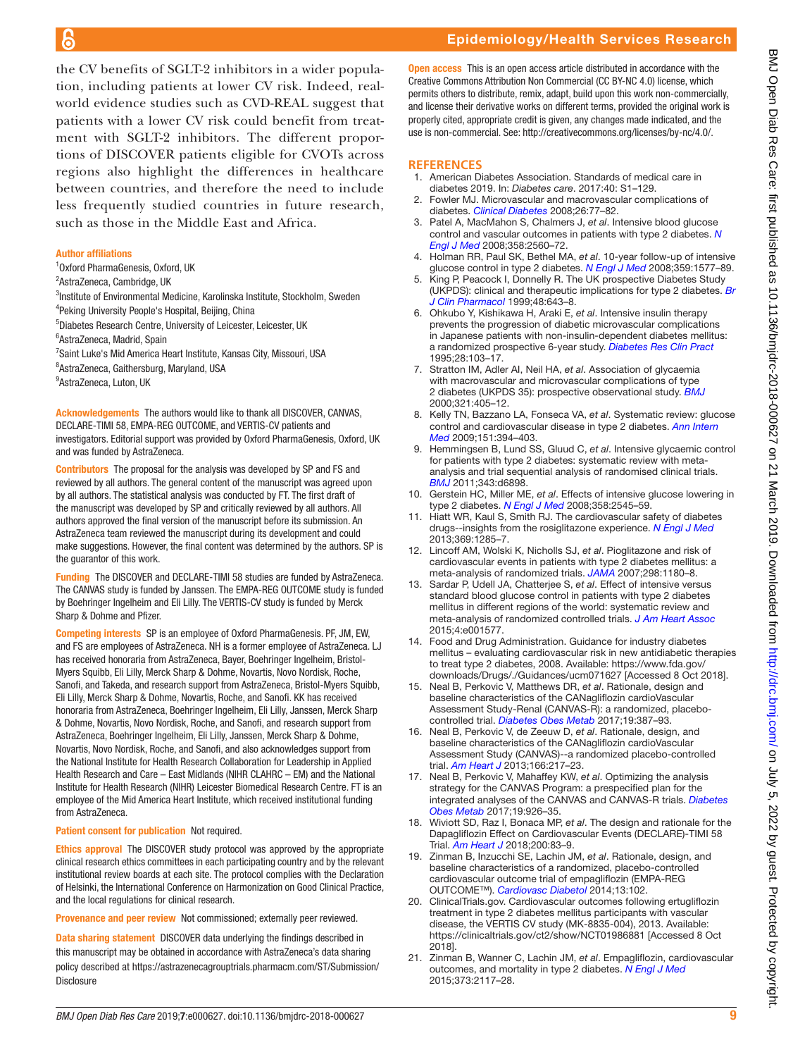# Epidemiology/Health Services Research

the CV benefits of SGLT-2 inhibitors in a wider population, including patients at lower CV risk. Indeed, realworld evidence studies such as CVD-REAL suggest that patients with a lower CV risk could benefit from treatment with SGLT-2 inhibitors. The different proportions of DISCOVER patients eligible for CVOTs across regions also highlight the differences in healthcare between countries, and therefore the need to include less frequently studied countries in future research, such as those in the Middle East and Africa.

#### Author affiliations

1 Oxford PharmaGenesis, Oxford, UK

- <sup>2</sup>AstraZeneca, Cambridge, UK
- 3 Institute of Environmental Medicine, Karolinska Institute, Stockholm, Sweden
- 4 Peking University People's Hospital, Beijing, China
- 5 Diabetes Research Centre, University of Leicester, Leicester, UK

<sup>6</sup>AstraZeneca, Madrid, Spain

<sup>7</sup>Saint Luke's Mid America Heart Institute, Kansas City, Missouri, USA

8 AstraZeneca, Gaithersburg, Maryland, USA

<sup>9</sup>AstraZeneca, Luton, UK

Acknowledgements The authors would like to thank all DISCOVER, CANVAS, DECLARE-TIMI 58, EMPA-REG OUTCOME, and VERTIS-CV patients and investigators. Editorial support was provided by Oxford PharmaGenesis, Oxford, UK and was funded by AstraZeneca.

Contributors The proposal for the analysis was developed by SP and FS and reviewed by all authors. The general content of the manuscript was agreed upon by all authors. The statistical analysis was conducted by FT. The first draft of the manuscript was developed by SP and critically reviewed by all authors. All authors approved the final version of the manuscript before its submission. An AstraZeneca team reviewed the manuscript during its development and could make suggestions. However, the final content was determined by the authors. SP is the guarantor of this work.

Funding The DISCOVER and DECLARE-TIMI 58 studies are funded by AstraZeneca. The CANVAS study is funded by Janssen. The EMPA-REG OUTCOME study is funded by Boehringer Ingelheim and Eli Lilly. The VERTIS-CV study is funded by Merck Sharp & Dohme and Pfizer.

Competing interests SP is an employee of Oxford PharmaGenesis. PF, JM, EW, and FS are employees of AstraZeneca. NH is a former employee of AstraZeneca. LJ has received honoraria from AstraZeneca, Bayer, Boehringer Ingelheim, Bristol-Myers Squibb, Eli Lilly, Merck Sharp & Dohme, Novartis, Novo Nordisk, Roche, Sanofi, and Takeda, and research support from AstraZeneca, Bristol-Myers Squibb, Eli Lilly, Merck Sharp & Dohme, Novartis, Roche, and Sanofi. KK has received honoraria from AstraZeneca, Boehringer Ingelheim, Eli Lilly, Janssen, Merck Sharp & Dohme, Novartis, Novo Nordisk, Roche, and Sanofi, and research support from AstraZeneca, Boehringer Ingelheim, Eli Lilly, Janssen, Merck Sharp & Dohme, Novartis, Novo Nordisk, Roche, and Sanofi, and also acknowledges support from the National Institute for Health Research Collaboration for Leadership in Applied Health Research and Care – East Midlands (NIHR CLAHRC – EM) and the National Institute for Health Research (NIHR) Leicester Biomedical Research Centre. FT is an employee of the Mid America Heart Institute, which received institutional funding from AstraZeneca.

#### Patient consent for publication Not required.

Ethics approval The DISCOVER study protocol was approved by the appropriate clinical research ethics committees in each participating country and by the relevant institutional review boards at each site. The protocol complies with the Declaration of Helsinki, the International Conference on Harmonization on Good Clinical Practice, and the local regulations for clinical research.

Provenance and peer review Not commissioned; externally peer reviewed.

Data sharing statement DISCOVER data underlying the findings described in this manuscript may be obtained in accordance with AstraZeneca's data sharing policy described at [https://astrazenecagrouptrials.pharmacm.com/ST/Submission/](https://astrazenecagrouptrials.pharmacm.com/ST/Submission/Disclosure) [Disclosure](https://astrazenecagrouptrials.pharmacm.com/ST/Submission/Disclosure)

**Open access** This is an open access article distributed in accordance with the Creative Commons Attribution Non Commercial (CC BY-NC 4.0) license, which permits others to distribute, remix, adapt, build upon this work non-commercially, and license their derivative works on different terms, provided the original work is properly cited, appropriate credit is given, any changes made indicated, and the use is non-commercial. See: <http://creativecommons.org/licenses/by-nc/4.0/>.

#### **References**

- <span id="page-8-0"></span>1. American Diabetes Association. Standards of medical care in diabetes 2019. In: *Diabetes care*. 2017:40: S1–129.
- 2. Fowler MJ. Microvascular and macrovascular complications of diabetes. *[Clinical Diabetes](http://dx.doi.org/10.2337/diaclin.26.2.77)* 2008;26:77–82.
- <span id="page-8-1"></span>3. Patel A, MacMahon S, Chalmers J, *et al*. Intensive blood glucose control and vascular outcomes in patients with type 2 diabetes. *[N](http://dx.doi.org/10.1056/NEJMoa0802987)  [Engl J Med](http://dx.doi.org/10.1056/NEJMoa0802987)* 2008;358:2560–72.
- 4. Holman RR, Paul SK, Bethel MA, *et al*. 10-year follow-up of intensive glucose control in type 2 diabetes. *[N Engl J Med](http://dx.doi.org/10.1056/NEJMoa0806470)* 2008;359:1577–89.
- 5. King P, Peacock I, Donnelly R. The UK prospective Diabetes Study (UKPDS): clinical and therapeutic implications for type 2 diabetes. *[Br](http://dx.doi.org/10.1046/j.1365-2125.1999.00092.x)  [J Clin Pharmacol](http://dx.doi.org/10.1046/j.1365-2125.1999.00092.x)* 1999;48:643–8.
- 6. Ohkubo Y, Kishikawa H, Araki E, *et al*. Intensive insulin therapy prevents the progression of diabetic microvascular complications in Japanese patients with non-insulin-dependent diabetes mellitus: a randomized prospective 6-year study. *[Diabetes Res Clin Pract](http://dx.doi.org/10.1016/0168-8227(95)01064-K)* 1995;28:103–17.
- 7. Stratton IM, Adler AI, Neil HA, *et al*. Association of glycaemia with macrovascular and microvascular complications of type 2 diabetes (UKPDS 35): prospective observational study. *[BMJ](http://dx.doi.org/10.1136/bmj.321.7258.405)* 2000;321:405–12.
- <span id="page-8-2"></span>8. Kelly TN, Bazzano LA, Fonseca VA, *et al*. Systematic review: glucose control and cardiovascular disease in type 2 diabetes. *[Ann Intern](http://dx.doi.org/10.7326/0003-4819-151-6-200909150-00137)  [Med](http://dx.doi.org/10.7326/0003-4819-151-6-200909150-00137)* 2009;151:394–403.
- 9. Hemmingsen B, Lund SS, Gluud C, *et al*. Intensive glycaemic control for patients with type 2 diabetes: systematic review with metaanalysis and trial sequential analysis of randomised clinical trials. *[BMJ](http://dx.doi.org/10.1136/bmj.d6898)* 2011;343:d6898.
- <span id="page-8-3"></span>10. Gerstein HC, Miller ME, *et al*. Effects of intensive glucose lowering in type 2 diabetes. *[N Engl J Med](http://dx.doi.org/10.1056/NEJMoa0802743)* 2008;358:2545–59.
- 11. Hiatt WR, Kaul S, Smith RJ. The cardiovascular safety of diabetes drugs--insights from the rosiglitazone experience. *[N Engl J Med](http://dx.doi.org/10.1056/NEJMp1309610)* 2013;369:1285–7.
- 12. Lincoff AM, Wolski K, Nicholls SJ, *et al*. Pioglitazone and risk of cardiovascular events in patients with type 2 diabetes mellitus: a meta-analysis of randomized trials. *[JAMA](http://dx.doi.org/10.1001/jama.298.10.1180)* 2007;298:1180–8.
- 13. Sardar P, Udell JA, Chatterjee S, *et al*. Effect of intensive versus standard blood glucose control in patients with type 2 diabetes mellitus in different regions of the world: systematic review and meta-analysis of randomized controlled trials. *[J Am Heart Assoc](http://dx.doi.org/10.1161/JAHA.114.001577)* 2015;4:e001577.
- <span id="page-8-4"></span>14. Food and Drug Administration. Guidance for industry diabetes mellitus – evaluating cardiovascular risk in new antidiabetic therapies to treat type 2 diabetes, 2008. Available: [https://www.fda.gov/](https://www.fda.gov/downloads/Drugs/./Guidances/ucm071627) [downloads/Drugs/./Guidances/ucm071627](https://www.fda.gov/downloads/Drugs/./Guidances/ucm071627) [Accessed 8 Oct 2018].
- <span id="page-8-5"></span>15. Neal B, Perkovic V, Matthews DR, *et al*. Rationale, design and baseline characteristics of the CANagliflozin cardioVascular Assessment Study-Renal (CANVAS-R): a randomized, placebocontrolled trial. *[Diabetes Obes Metab](http://dx.doi.org/10.1111/dom.12829)* 2017;19:387–93.
- 16. Neal B, Perkovic V, de Zeeuw D, *et al*. Rationale, design, and baseline characteristics of the CANagliflozin cardioVascular Assessment Study (CANVAS)--a randomized placebo-controlled trial. *[Am Heart J](http://dx.doi.org/10.1016/j.ahj.2013.05.007)* 2013;166:217–23.
- <span id="page-8-7"></span>17. Neal B, Perkovic V, Mahaffey KW, *et al*. Optimizing the analysis strategy for the CANVAS Program: a prespecified plan for the integrated analyses of the CANVAS and CANVAS-R trials. *[Diabetes](http://dx.doi.org/10.1111/dom.12924)  [Obes Metab](http://dx.doi.org/10.1111/dom.12924)* 2017;19:926–35.
- 18. Wiviott SD, Raz I, Bonaca MP, *et al*. The design and rationale for the Dapagliflozin Effect on Cardiovascular Events (DECLARE)-TIMI 58 Trial. *[Am Heart J](http://dx.doi.org/10.1016/j.ahj.2018.01.012)* 2018;200:83–9.
- 19. Zinman B, Inzucchi SE, Lachin JM, *et al*. Rationale, design, and baseline characteristics of a randomized, placebo-controlled cardiovascular outcome trial of empagliflozin (EMPA-REG OUTCOME™). *[Cardiovasc Diabetol](http://dx.doi.org/10.1186/1475-2840-13-102)* 2014;13:102.
- 20. ClinicalTrials.gov. Cardiovascular outcomes following ertugliflozin treatment in type 2 diabetes mellitus participants with vascular disease, the VERTIS CV study (MK-8835-004), 2013. Available: <https://clinicaltrials.gov/ct2/show/NCT01986881>[Accessed 8 Oct 2018].
- <span id="page-8-6"></span>21. Zinman B, Wanner C, Lachin JM, *et al*. Empagliflozin, cardiovascular outcomes, and mortality in type 2 diabetes. *[N Engl J Med](http://dx.doi.org/10.1056/NEJMoa1504720)* 2015;373:2117–28.